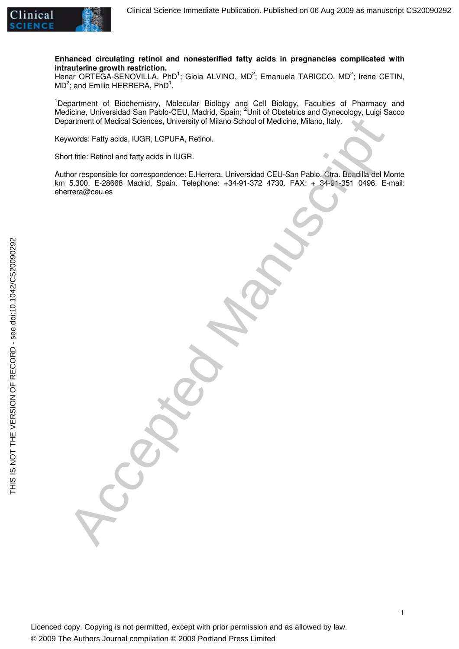

**Enhanced circulating retinol and nonesterified fatty acids in pregnancies complicated with intrauterine growth restriction.** 

Henar ORTEGA-SENOVILLA, PhD<sup>1</sup>; Gioia ALVINO, MD<sup>2</sup>; Emanuela TARICCO, MD<sup>2</sup>; Irene CETIN,  $MD<sup>2</sup>$ ; and Emilio HERRERA, PhD<sup>1</sup>.

<sup>1</sup>Department of Biochemistry, Molecular Biology and Cell Biology, Faculties of Pharmacy and Medicine, Universidad San Pablo-CEU, Madrid, Spain; <sup>2</sup>Unit of Obstetrics and Gynecology, Luigi Sacco Department of Medical Sciences, University of Milano School of Medicine, Milano, Italy.

Keywords: Fatty acids, IUGR, LCPUFA, Retinol.

Short title: Retinol and fatty acids in IUGR.

Author responsible for correspondence: E.Herrera. Universidad CEU-San Pablo. Ctra. Boadilla del Monte km 5.300. E-28668 Madrid, Spain. Telephone: +34-91-372 4730. FAX: + 34-91-351 0496. E-mail: eherrera@ceu.es narmont of Modical Sciences, University of Milano School of Modicine, Milano, Esky.<br>
Arvords: Fatiy acids, IUGR, LCPUFA, Reinol.<br>
In this responsible for correspondence: El-terrera. Universited CEU-San Pablo. Ora. Boudille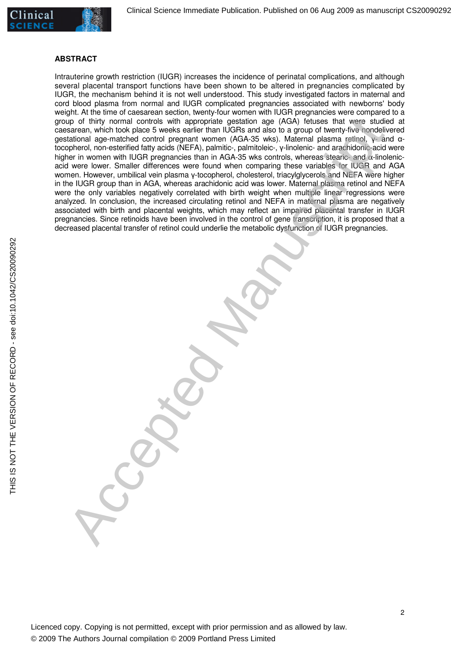

### **ABSTRACT**

Intrauterine growth restriction (IUGR) increases the incidence of perinatal complications, and although several placental transport functions have been shown to be altered in pregnancies complicated by IUGR, the mechanism behind it is not well understood. This study investigated factors in maternal and cord blood plasma from normal and IUGR complicated pregnancies associated with newborns' body weight. At the time of caesarean section, twenty-four women with IUGR pregnancies were compared to a group of thirty normal controls with appropriate gestation age (AGA) fetuses that were studied at caesarean, which took place 5 weeks earlier than IUGRs and also to a group of twenty-five nondelivered gestational age-matched control pregnant women (AGA-35 wks). Maternal plasma retinol, γ- and αtocopherol, non-esterified fatty acids (NEFA), palmitic-, palmitoleic-, γ-linolenic- and arachidonic-acid were higher in women with IUGR pregnancies than in AGA-35 wks controls, whereas stearic- and  $\alpha$ -linolenicacid were lower. Smaller differences were found when comparing these variables for IUGR and AGA women. However, umbilical vein plasma γ-tocopherol, cholesterol, triacylglycerols and NEFA were higher in the IUGR group than in AGA, whereas arachidonic acid was lower. Maternal plasma retinol and NEFA were the only variables negatively correlated with birth weight when multiple linear regressions were analyzed. In conclusion, the increased circulating retinol and NEFA in maternal plasma are negatively associated with birth and placental weights, which may reflect an impaired placental transfer in IUGR pregnancies. Since retinoids have been involved in the control of gene transcription, it is proposed that a decreased placental transfer of retinol could underlie the metabolic dysfunction of IUGR pregnancies. in of thirty normal controls with appropriate genturing any (AGA) fusues frait were studied by matched borders and were studied by matched borders in the studied by the studied borders of the studied by the studied borders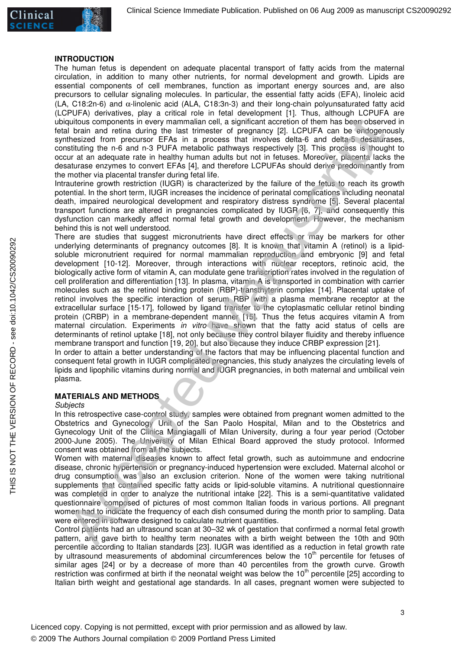

### **INTRODUCTION**

The human fetus is dependent on adequate placental transport of fatty acids from the maternal circulation, in addition to many other nutrients, for normal development and growth. Lipids are essential components of cell membranes, function as important energy sources and, are also precursors to cellular signaling molecules. In particular, the essential fatty acids (EFA), linoleic acid (LA, C18:2n-6) and α-linolenic acid (ALA, C18:3n-3) and their long-chain polyunsaturated fatty acid (LCPUFA) derivatives, play a critical role in fetal development [1]. Thus, although LCPUFA are ubiquitous components in every mammalian cell, a significant accretion of them has been observed in fetal brain and retina during the last trimester of pregnancy [2]. LCPUFA can be endogenously synthesized from precursor EFAs in a process that involves delta-6 and delta-5 desaturases, constituting the n-6 and n-3 PUFA metabolic pathways respectively [3]. This process is thought to occur at an adequate rate in healthy human adults but not in fetuses. Moreover, placenta lacks the desaturase enzymes to convert EFAs [4], and therefore LCPUFAs should derive predominantly from the mother via placental transfer during fetal life.

Intrauterine growth restriction (IUGR) is characterized by the failure of the fetus to reach its growth potential. In the short term, IUGR increases the incidence of perinatal complications including neonatal death, impaired neurological development and respiratory distress syndrome [5]. Several placental transport functions are altered in pregnancies complicated by IUGR [6, 7], and consequently this dysfunction can markedly affect normal fetal growth and development. However, the mechanism behind this is not well understood.

There are studies that suggest micronutrients have direct effects or may be markers for other underlying determinants of pregnancy outcomes [8]. It is known that vitamin A (retinol) is a lipidsoluble micronutrient required for normal mammalian reproduction and embryonic [9] and fetal development [10-12]. Moreover, through interactions with nuclear receptors, retinoic acid, the biologically active form of vitamin A, can modulate gene transcription rates involved in the regulation of cell proliferation and differentiation [13]. In plasma, vitamin A is transported in combination with carrier molecules such as the retinol binding protein (RBP)-transthyterin complex [14]. Placental uptake of retinol involves the specific interaction of serum RBP with a plasma membrane receptor at the extracellular surface [15-17], followed by ligand transfer to the cytoplasmatic cellular retinol binding protein (CRBP) in a membrane-dependent manner [15]. Thus the fetus acquires vitamin A from maternal circulation. Experiments in vitro have shown that the fatty acid status of cells are determinants of retinol uptake [18], not only because they control bilayer fluidity and thereby influence membrane transport and function [19, 20], but also because they induce CRBP expression [21]. quitable internal methods and restriction in significant acception of them has been observed throughts components in every manuscription internal methods are also the methods and detected manuscription internal methods are

In order to attain a better understanding of the factors that may be influencing placental function and consequent fetal growth in IUGR complicated pregnancies, this study analyzes the circulating levels of lipids and lipophilic vitamins during normal and IUGR pregnancies, in both maternal and umbilical vein plasma.

# **MATERIALS AND METHODS**

### **Subjects**

In this retrospective case-control study, samples were obtained from pregnant women admitted to the Obstetrics and Gynecology Unit of the San Paolo Hospital, Milan and to the Obstetrics and Gynecology Unit of the Clinica Mangiagalli of Milan University, during a four year period (October 2000-June 2005). The University of Milan Ethical Board approved the study protocol. Informed consent was obtained from all the subjects.

Women with maternal diseases known to affect fetal growth, such as autoimmune and endocrine disease, chronic hypertension or pregnancy-induced hypertension were excluded. Maternal alcohol or drug consumption was also an exclusion criterion. None of the women were taking nutritional supplements that contained specific fatty acids or lipid-soluble vitamins. A nutritional questionnaire was completed in order to analyze the nutritional intake [22]. This is a semi-quantitative validated questionnaire composed of pictures of most common Italian foods in various portions. All pregnant women had to indicate the frequency of each dish consumed during the month prior to sampling. Data were entered in software designed to calculate nutrient quantities.

Control patients had an ultrasound scan at 30–32 wk of gestation that confirmed a normal fetal growth pattern, and gave birth to healthy term neonates with a birth weight between the 10th and 90th percentile according to Italian standards [23]. IUGR was identified as a reduction in fetal growth rate by ultrasound measurements of abdominal circumferences below the  $10<sup>th</sup>$  percentile for fetuses of similar ages [24] or by a decrease of more than 40 percentiles from the growth curve. Growth restriction was confirmed at birth if the neonatal weight was below the 10<sup>th</sup> percentile [25] according to Italian birth weight and gestational age standards. In all cases, pregnant women were subjected to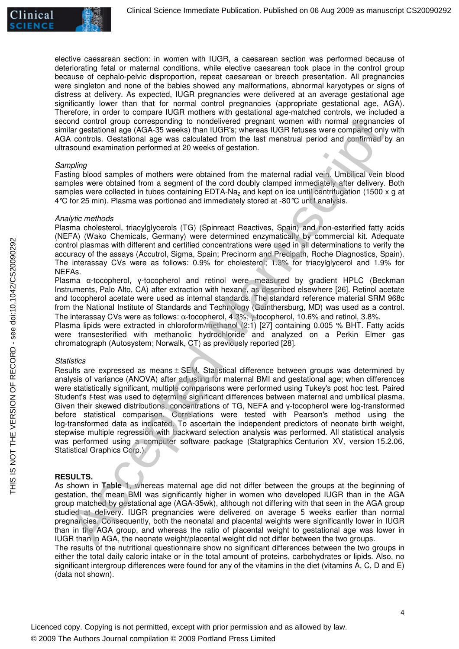

elective caesarean section: in women with IUGR, a caesarean section was performed because of deteriorating fetal or maternal conditions, while elective caesarean took place in the control group because of cephalo-pelvic disproportion, repeat caesarean or breech presentation. All pregnancies were singleton and none of the babies showed any malformations, abnormal karyotypes or signs of distress at delivery. As expected, IUGR pregnancies were delivered at an average gestational age significantly lower than that for normal control pregnancies (appropriate gestational age, AGA). Therefore, in order to compare IUGR mothers with gestational age-matched controls, we included a second control group corresponding to nondelivered pregnant women with normal pregnancies of similar gestational age (AGA-35 weeks) than IUGR's; whereas IUGR fetuses were compared only with AGA controls. Gestational age was calculated from the last menstrual period and confirmed by an ultrasound examination performed at 20 weeks of gestation.

### **Sampling**

Fasting blood samples of mothers were obtained from the maternal radial vein. Umbilical vein blood samples were obtained from a segment of the cord doubly clamped immediately after delivery. Both samples were collected in tubes containing  $EDTA-Na<sub>2</sub>$  and kept on ice until centrifugation (1500 x g at 4°C for 25 min). Plasma was portioned and immediately stored at -80°C until analysis.

## Analytic methods

Plasma cholesterol, triacylglycerols (TG) (Spinreact Reactives, Spain) and non-esterified fatty acids (NEFA) (Wako Chemicals, Germany) were determined enzymatically by commercial kit. Adequate control plasmas with different and certified concentrations were used in all determinations to verify the accuracy of the assays (Accutrol, Sigma, Spain; Precinorm and Precipath, Roche Diagnostics, Spain). The interassay CVs were as follows: 0.9% for cholesterol; 1.3% for triacylglycerol and 1.9% for NEFAs.

Plasma α-tocopherol, γ-tocopherol and retinol were measured by gradient HPLC (Beckman Instruments, Palo Alto, CA) after extraction with hexane, as described elsewhere [26]. Retinol acetate and tocopherol acetate were used as internal standards. The standard reference material SRM 968c from the National Institute of Standards and Technology (Gainthersburg, MD) was used as a control. The interassay CVs were as follows: α-tocopherol, 4.3%; γ-tocopherol, 10.6% and retinol, 3.8%.

Plasma lipids were extracted in chloroform/methanol (2:1) [27] containing 0.005 % BHT. Fatty acids were transesterified with methanolic hydrochloride and analyzed on a Perkin Elmer gas chromatograph (Autosystem; Norwalk, CT) as previously reported [28].

## **Statistics**

Results are expressed as means  $\pm$  SEM. Statistical difference between groups was determined by analysis of variance (ANOVA) after adjusting for maternal BMI and gestational age; when differences were statistically significant, multiple comparisons were performed using Tukey's post hoc test. Paired Student's t-test was used to determine significant differences between maternal and umbilical plasma. Given their skewed distributions, concentrations of TG, NEFA and γ-tocopherol were log-transformed before statistical comparison. Correlations were tested with Pearson's method using the log-transformed data as indicated. To ascertain the independent predictors of neonate birth weight, stepwise multiple regression with backward selection analysis was performed. All statistical analysis was performed using a computer software package (Statgraphics Centurion XV, version 15.2.06, Statistical Graphics Corp.). ond control group corresponding to nondelivered proportion and wine normal engage and the control group control and engage of AC accepted Manuscript (i.e. Gerational age was calculated from the last meaning independent of

## **RESULTS.**

As shown in **Table 1**, whereas maternal age did not differ between the groups at the beginning of gestation, the mean BMI was significantly higher in women who developed IUGR than in the AGA group matched by gestational age (AGA-35wk), although not differing with that seen in the AGA group studied at delivery. IUGR pregnancies were delivered on average 5 weeks earlier than normal pregnancies. Consequently, both the neonatal and placental weights were significantly lower in IUGR than in the AGA group, and whereas the ratio of placental weight to gestational age was lower in IUGR than in AGA, the neonate weight/placental weight did not differ between the two groups.

The results of the nutritional questionnaire show no significant differences between the two groups in either the total daily caloric intake or in the total amount of proteins, carbohydrates or lipids. Also, no significant intergroup differences were found for any of the vitamins in the diet (vitamins A, C, D and E) (data not shown).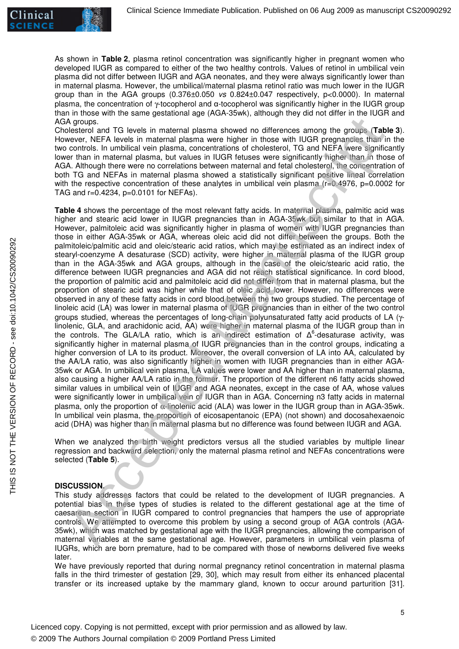

As shown in **Table 2**, plasma retinol concentration was significantly higher in pregnant women who developed IUGR as compared to either of the two healthy controls. Values of retinol in umbilical vein plasma did not differ between IUGR and AGA neonates, and they were always significantly lower than in maternal plasma. However, the umbilical/maternal plasma retinol ratio was much lower in the IUGR group than in the AGA groups (0.376±0.050 vs 0.824±0.047 respectively, p<0.0000). In maternal plasma, the concentration of γ-tocopherol and α-tocopherol was significantly higher in the IUGR group than in those with the same gestational age (AGA-35wk), although they did not differ in the IUGR and AGA groups.

Cholesterol and TG levels in maternal plasma showed no differences among the groups (**Table 3**). However, NEFA levels in maternal plasma were higher in those with IUGR pregnancies than in the two controls. In umbilical vein plasma, concentrations of cholesterol, TG and NEFA were significantly lower than in maternal plasma, but values in IUGR fetuses were significantly higher than in those of AGA. Although there were no correlations between maternal and fetal cholesterol, the concentration of both TG and NEFAs in maternal plasma showed a statistically significant positive lineal correlation with the respective concentration of these analytes in umbilical vein plasma (r=0.4976, p=0.0002 for TAG and r=0.4234, p=0.0101 for NEFAs).

**Table 4** shows the percentage of the most relevant fatty acids. In maternal plasma, palmitic acid was higher and stearic acid lower in IUGR pregnancies than in AGA-35wk but similar to that in AGA. However, palmitoleic acid was significantly higher in plasma of women with IUGR pregnancies than those in either AGA-35wk or AGA, whereas oleic acid did not differ between the groups. Both the palmitoleic/palmitic acid and oleic/stearic acid ratios, which may be estimated as an indirect index of stearyl-coenzyme A desaturase (SCD) activity, were higher in maternal plasma of the IUGR group than in the AGA-35wk and AGA groups, although in the case of the oleic/stearic acid ratio, the difference between IUGR pregnancies and AGA did not reach statistical significance. In cord blood, the proportion of palmitic acid and palmitoleic acid did not differ from that in maternal plasma, but the proportion of stearic acid was higher while that of oleic acid lower. However, no differences were observed in any of these fatty acids in cord blood between the two groups studied. The percentage of linoleic acid (LA) was lower in maternal plasma of IUGR pregnancies than in either of the two control groups studied, whereas the percentages of long-chain polyunsaturated fatty acid products of LA (γlinolenic, GLA, and arachidonic acid, AA) were higher in maternal plasma of the IUGR group than in the controls. The GLA/LA ratio, which is an indirect estimation of  $\Delta^6$ -desaturase activity, was significantly higher in maternal plasma of IUGR pregnancies than in the control groups, indicating a higher conversion of LA to its product. Moreover, the overall conversion of LA into AA, calculated by the AA/LA ratio, was also significantly higher in women with IUGR pregnancies than in either AGA-35wk or AGA. In umbilical vein plasma, LA values were lower and AA higher than in maternal plasma, also causing a higher AA/LA ratio in the former. The proportion of the different n6 fatty acids showed similar values in umbilical vein of IUGR and AGA neonates, except in the case of AA, whose values were significantly lower in umbilical vein of IUGR than in AGA. Concerning n3 fatty acids in maternal plasma, only the proportion of α-linolenic acid (ALA) was lower in the IUGR group than in AGA-35wk. In umbilical vein plasma, the proportion of eicosapentanoic (EPA) (not shown) and docosahexaenoic acid (DHA) was higher than in maternal plasma but no difference was found between IUGR and AGA. A groups. The lies in maternal plasma showed no differences among the groups. Table between the method of the control in maternal plasma showed no differences among the groups. Table where the method with the control in th

When we analyzed the birth weight predictors versus all the studied variables by multiple linear regression and backward selection, only the maternal plasma retinol and NEFAs concentrations were selected (**Table 5**).

## **DISCUSSION.**

This study addresses factors that could be related to the development of IUGR pregnancies. A potential bias in these types of studies is related to the different gestational age at the time of caesarean section in IUGR compared to control pregnancies that hampers the use of appropriate controls. We attempted to overcome this problem by using a second group of AGA controls (AGA-35wk), which was matched by gestational age with the IUGR pregnancies, allowing the comparison of maternal variables at the same gestational age. However, parameters in umbilical vein plasma of IUGRs, which are born premature, had to be compared with those of newborns delivered five weeks later.

We have previously reported that during normal pregnancy retinol concentration in maternal plasma falls in the third trimester of gestation [29, 30], which may result from either its enhanced placental transfer or its increased uptake by the mammary gland, known to occur around parturition [31].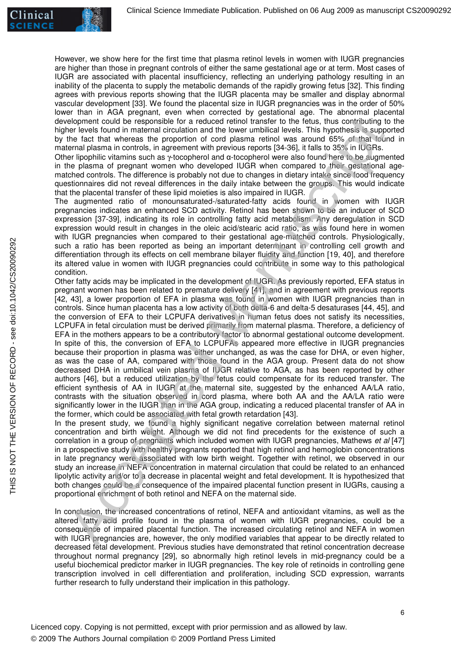However, we show here for the first time that plasma retinol levels in women with IUGR pregnancies are higher than those in pregnant controls of either the same gestational age or at term. Most cases of IUGR are associated with placental insufficiency, reflecting an underlying pathology resulting in an inability of the placenta to supply the metabolic demands of the rapidly growing fetus [32]. This finding agrees with previous reports showing that the IUGR placenta may be smaller and display abnormal vascular development [33]. We found the placental size in IUGR pregnancies was in the order of 50% lower than in AGA pregnant, even when corrected by gestational age. The abnormal placental development could be responsible for a reduced retinol transfer to the fetus, thus contributing to the higher levels found in maternal circulation and the lower umbilical levels. This hypothesis is supported by the fact that whereas the proportion of cord plasma retinol was around 65% of that found in maternal plasma in controls, in agreement with previous reports [34-36], it falls to 35% in IUGRs.

Other lipophilic vitamins such as γ-tocopherol and α-tocopherol were also found here to be augmented in the plasma of pregnant women who developed IUGR when compared to their gestational agematched controls. The difference is probably not due to changes in dietary intake since food frequency questionnaires did not reveal differences in the daily intake between the groups. This would indicate that the placental transfer of these lipid moieties is also impaired in IUGR.

The augmented ratio of monounsaturated-/saturated-fatty acids found in women with IUGR pregnancies indicates an enhanced SCD activity. Retinol has been shown to be an inducer of SCD expression [37-39], indicating its role in controlling fatty acid metabolism. Any deregulation in SCD expression would result in changes in the oleic acid/stearic acid ratio, as was found here in women with IUGR pregnancies when compared to their gestational age-matched controls. Physiologically, such a ratio has been reported as being an important determinant in controlling cell growth and differentiation through its effects on cell membrane bilayer fluidity and function [19, 40], and therefore its altered value in women with IUGR pregnancies could contribute in some way to this pathological condition.

Other fatty acids may be implicated in the development of IUGR. As previously reported, EFA status in pregnant women has been related to premature delivery [41], and in agreement with previous reports [42, 43], a lower proportion of EFA in plasma was found in women with IUGR pregnancies than in controls. Since human placenta has a low activity of both delta-6 and delta-5 desaturases [44, 45], and the conversion of EFA to their LCPUFA derivatives in human fetus does not satisfy its necessities, LCPUFA in fetal circulation must be derived primarily from maternal plasma. Therefore, a deficiency of EFA in the mothers appears to be a contributory factor to abnormal gestational outcome development. In spite of this, the conversion of EFA to LCPUFAs appeared more effective in IUGR pregnancies because their proportion in plasma was either unchanged, as was the case for DHA, or even higher, as was the case of AA, compared with those found in the AGA group. Present data do not show decreased DHA in umbilical vein plasma of IUGR relative to AGA, as has been reported by other authors [46], but a reduced utilization by the fetus could compensate for its reduced transfer. The efficient synthesis of AA in IUGR at the maternal site, suggested by the enhanced AA/LA ratio, contrasts with the situation observed in cord plasma, where both AA and the AA/LA ratio were significantly lower in the IUGR than in the AGA group, indicating a reduced placental transfer of AA in the former, which could be associated with fetal growth retardation [43]. release the methods in equilibrial for a reduced retiral fraction the forte, this contribution to the central when the the methods in the central methods in the term in the term when the methods in the methods in the metho

In the present study, we found a highly significant negative correlation between maternal retinol concentration and birth weight. Although we did not find precedents for the existence of such a correlation in a group of pregnants which included women with IUGR pregnancies, Mathews et al [47] in a prospective study with healthy pregnants reported that high retinol and hemoglobin concentrations in late pregnancy were associated with low birth weight. Together with retinol, we observed in our study an increase in NEFA concentration in maternal circulation that could be related to an enhanced lipolytic activity and/or to a decrease in placental weight and fetal development. It is hypothesized that both changes could be a consequence of the impaired placental function present in IUGRs, causing a proportional enrichment of both retinol and NEFA on the maternal side.

In conclusion, the increased concentrations of retinol, NEFA and antioxidant vitamins, as well as the altered fatty acid profile found in the plasma of women with IUGR pregnancies, could be a consequence of impaired placental function. The increased circulating retinol and NEFA in women with IUGR pregnancies are, however, the only modified variables that appear to be directly related to decreased fetal development. Previous studies have demonstrated that retinol concentration decrease throughout normal pregnancy [29], so abnormally high retinol levels in mid-pregnancy could be a useful biochemical predictor marker in IUGR pregnancies. The key role of retinoids in controlling gene transcription involved in cell differentiation and proliferation, including SCD expression, warrants further research to fully understand their implication in this pathology.

Licenced copy. Copying is not permitted, except with prior permission and as allowed by law. © 2009 The Authors Journal compilation © 2009 Portland Press Limited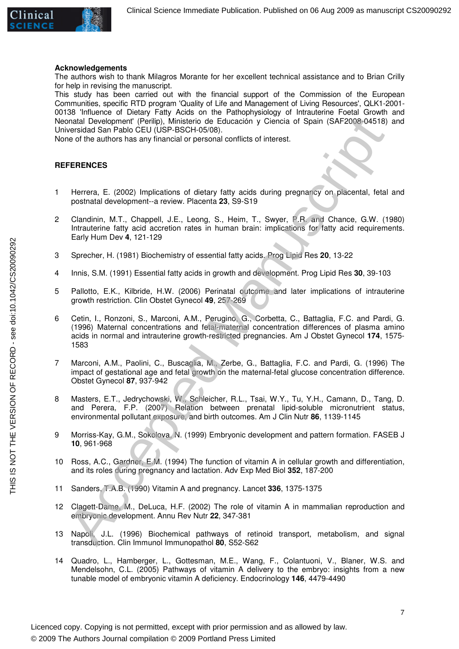

### **Acknowledgements**

The authors wish to thank Milagros Morante for her excellent technical assistance and to Brian Crilly for help in revising the manuscript.

This study has been carried out with the financial support of the Commission of the European Communities, specific RTD program 'Quality of Life and Management of Living Resources', QLK1-2001- 00138 'Influence of Dietary Fatty Acids on the Pathophysiology of Intrauterine Foetal Growth and Neonatal Development' (Perilip), Ministerio de Educación y Ciencia of Spain (SAF2008-04518) and Universidad San Pablo CEU (USP-BSCH-05/08).

None of the authors has any financial or personal conflicts of interest.

### **REFERENCES**

- 1 Herrera, E. (2002) Implications of dietary fatty acids during pregnancy on placental, fetal and postnatal development--a review. Placenta **23**, S9-S19
- 2 Clandinin, M.T., Chappell, J.E., Leong, S., Heim, T., Swyer, P.R. and Chance, G.W. (1980) Intrauterine fatty acid accretion rates in human brain: implications for fatty acid requirements. Early Hum Dev **4**, 121-129
- 3 Sprecher, H. (1981) Biochemistry of essential fatty acids. Prog Lipid Res **20**, 13-22
- 4 Innis, S.M. (1991) Essential fatty acids in growth and development. Prog Lipid Res **30**, 39-103
- 5 Pallotto, E.K., Kilbride, H.W. (2006) Perinatal outcome and later implications of intrauterine growth restriction. Clin Obstet Gynecol **49**, 257-269
- 6 Cetin, I., Ronzoni, S., Marconi, A.M., Perugino, G., Corbetta, C., Battaglia, F.C. and Pardi, G. (1996) Maternal concentrations and fetal-maternal concentration differences of plasma amino acids in normal and intrauterine growth-restricted pregnancies. Am J Obstet Gynecol **174**, 1575- 1583 onatal Development" (Peirligh, Ministorio de Educación y Ciamcia of Spain (SAF2008.04518)<br>versidad San Pablo CEU (USF-BSCH-6508).<br>Thereta. E. (2002) Implications of distary tatty acids during pregnancy on pacental, fetal<br>p
- 7 Marconi, A.M., Paolini, C., Buscaglia, M., Zerbe, G., Battaglia, F.C. and Pardi, G. (1996) The impact of gestational age and fetal growth on the maternal-fetal glucose concentration difference. Obstet Gynecol **87**, 937-942
- 8 Masters, E.T., Jedrychowski, W., Schleicher, R.L., Tsai, W.Y., Tu, Y.H., Camann, D., Tang, D. and Perera, F.P. (2007) Relation between prenatal lipid-soluble micronutrient status, environmental pollutant exposure, and birth outcomes. Am J Clin Nutr **86**, 1139-1145
- 9 Morriss-Kay, G.M., Sokolova, N. (1999) Embryonic development and pattern formation. FASEB J **10**, 961-968
- 10 Ross, A.C., Gardner, E.M. (1994) The function of vitamin A in cellular growth and differentiation, and its roles during pregnancy and lactation. Adv Exp Med Biol **352**, 187-200
- 11 Sanders, T.A.B. (1990) Vitamin A and pregnancy. Lancet **336**, 1375-1375
- 12 Clagett-Dame, M., DeLuca, H.F. (2002) The role of vitamin A in mammalian reproduction and embryonic development. Annu Rev Nutr **22**, 347-381
- 13 Napoli, J.L. (1996) Biochemical pathways of retinoid transport, metabolism, and signal transduction. Clin Immunol Immunopathol **80**, S52-S62
- 14 Quadro, L., Hamberger, L., Gottesman, M.E., Wang, F., Colantuoni, V., Blaner, W.S. and Mendelsohn, C.L. (2005) Pathways of vitamin A delivery to the embryo: insights from a new tunable model of embryonic vitamin A deficiency. Endocrinology **146**, 4479-4490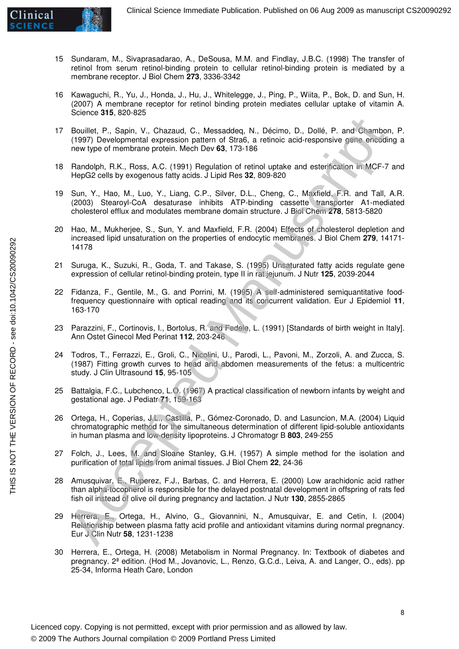

- 15 Sundaram, M., Sivaprasadarao, A., DeSousa, M.M. and Findlay, J.B.C. (1998) The transfer of retinol from serum retinol-binding protein to cellular retinol-binding protein is mediated by a membrane receptor. J Biol Chem **273**, 3336-3342
- 16 Kawaguchi, R., Yu, J., Honda, J., Hu, J., Whitelegge, J., Ping, P., Wiita, P., Bok, D. and Sun, H. (2007) A membrane receptor for retinol binding protein mediates cellular uptake of vitamin A. Science **315**, 820-825
- 17 Bouillet, P., Sapin, V., Chazaud, C., Messaddeq, N., Décimo, D., Dollé, P. and Chambon, P. (1997) Developmental expression pattern of Stra6, a retinoic acid-responsive gene encoding a new type of membrane protein. Mech Dev **63**, 173-186
- 18 Randolph, R.K., Ross, A.C. (1991) Regulation of retinol uptake and esterification in MCF-7 and HepG2 cells by exogenous fatty acids. J Lipid Res **32**, 809-820
- 19 Sun, Y., Hao, M., Luo, Y., Liang, C.P., Silver, D.L., Cheng, C., Maxfield, F.R. and Tall, A.R. (2003) Stearoyl-CoA desaturase inhibits ATP-binding cassette transporter A1-mediated cholesterol efflux and modulates membrane domain structure. J Biol Chem **278**, 5813-5820
- 20 Hao, M., Mukherjee, S., Sun, Y. and Maxfield, F.R. (2004) Effects of cholesterol depletion and increased lipid unsaturation on the properties of endocytic membranes. J Biol Chem **279**, 14171- 14178
- 21 Suruga, K., Suzuki, R., Goda, T. and Takase, S. (1995) Unsaturated fatty acids regulate gene expression of cellular retinol-binding protein, type II in rat jejunum. J Nutr **125**, 2039-2044
- 22 Fidanza, F., Gentile, M., G. and Porrini, M. (1995) A self-administered semiquantitative foodfrequency questionnaire with optical reading and its concurrent validation. Eur J Epidemiol **11**, 163-170
- 23 Parazzini, F., Cortinovis, I., Bortolus, R. and Fedele, L. (1991) [Standards of birth weight in Italy]. Ann Ostet Ginecol Med Perinat **112**, 203-246
- 24 Todros, T., Ferrazzi, E., Groli, C., Nicolini, U., Parodi, L., Pavoni, M., Zorzoli, A. and Zucca, S. (1987) Fitting growth curves to head and abdomen measurements of the fetus: a multicentric study. J Clin Ultrasound **15**, 95-105
- 25 Battalgia, F.C., Lubchenco, L.O. (1967) A practical classification of newborn infants by weight and gestational age. J Pediatr **71**, 159-163
- 26 Ortega, H., Coperias, J.L., Castilla, P., Gómez-Coronado, D. and Lasuncion, M.A. (2004) Liquid chromatographic method for the simultaneous determination of different lipid-soluble antioxidants in human plasma and low-density lipoproteins. J Chromatogr B **803**, 249-255
- 27 Folch, J., Lees, M. and Sloane Stanley, G.H. (1957) A simple method for the isolation and purification of total lipids from animal tissues. J Biol Chem **22**, 24-36
- 28 Amusquivar, E., Ruperez, F.J., Barbas, C. and Herrera, E. (2000) Low arachidonic acid rather than alpha-tocopherol is responsible for the delayed postnatal development in offspring of rats fed fish oil instead of olive oil during pregnancy and lactation. J Nutr **130**, 2855-2865
- 29 Herrera, E., Ortega, H., Alvino, G., Giovannini, N., Amusquivar, E. and Cetin, I. (2004) Relationship between plasma fatty acid profile and antioxidant vitamins during normal pregnancy. Eur J Clin Nutr **58**, 1231-1238 Bouillet, P., Sapin, V., Chazaud, C., Messaddoq, N., Dócimo, D., Dolló, P. and Chambon<br>1997) Developmental expension pattern of Stras, a retinoic add-responsive pene encediation<br>1997) Developmental experimental of Stras, A
- 30 Herrera, E., Ortega, H. (2008) Metabolism in Normal Pregnancy. In: Textbook of diabetes and pregnancy. 2ª edition. (Hod M., Jovanovic, L., Renzo, G.C.d., Leiva, A. and Langer, O., eds). pp 25-34, Informa Heath Care, London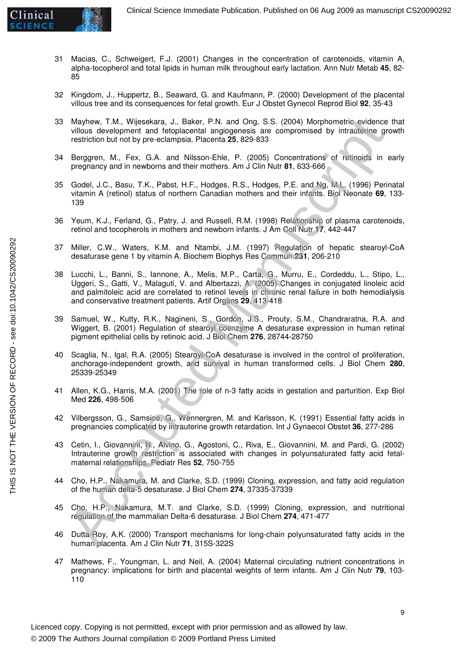- 31 Macias, C., Schweigert, F.J. (2001) Changes in the concentration of carotenoids, vitamin A, alpha-tocopherol and total lipids in human milk throughout early lactation. Ann Nutr Metab **45**, 82- 85
- 32 Kingdom, J., Huppertz, B., Seaward, G. and Kaufmann, P. (2000) Development of the placental villous tree and its consequences for fetal growth. Eur J Obstet Gynecol Reprod Biol **92**, 35-43
- 33 Mayhew, T.M., Wijesekara, J., Baker, P.N. and Ong, S.S. (2004) Morphometric evidence that villous development and fetoplacental angiogenesis are compromised by intrauterine growth restriction but not by pre-eclampsia. Placenta **25**, 829-833
- 34 Berggren, M., Fex, G.A. and Nilsson-Ehle, P. (2005) Concentrations of retinoids in early pregnancy and in newborns and their mothers. Am J Clin Nutr **81**, 633-666
- 35 Godel, J.C., Basu, T.K., Pabst, H.F., Hodges, R.S., Hodges, P.E. and Ng, M.L. (1996) Perinatal vitamin A (retinol) status of northern Canadian mothers and their infants. Biol Neonate **69**, 133- 139
- 36 Yeum, K.J., Ferland, G., Patry, J. and Russell, R.M. (1998) Relationship of plasma carotenoids, retinol and tocopherols in mothers and newborn infants. J Am Coll Nutr **17**, 442-447
- 37 Miller, C.W., Waters, K.M. and Ntambi, J.M. (1997) Regulation of hepatic stearoyl-CoA desaturase gene 1 by vitamin A. Biochem Biophys Res Commun **231**, 206-210
- 38 Lucchi, L., Banni, S., Iannone, A., Melis, M.P., Carta, G., Murru, E., Cordeddu, L., Stipo, L., Uggeri, S., Gatti, V., Malaguti, V. and Albertazzi, A. (2005) Changes in conjugated linoleic acid and palmitoleic acid are correlated to retinol levels in chronic renal failure in both hemodialysis and conservative treatment patients. Artif Organs **29**, 413-418 Mayhew, T.M., Willeskara, J., Backer, P.N. and Ong. S.S. (2004) Morphometic evidence<br>
villous development and fotoplacental anglogenesis are compromised by infraction by the<br>
villous development and fotoplacental anglogene
- 39 Samuel, W., Kutty, R.K., Nagineni, S., Gordon, J.S., Prouty, S.M., Chandraratna, R.A. and Wiggert, B. (2001) Regulation of stearoyl coenzyme A desaturase expression in human retinal pigment epithelial cells by retinoic acid. J Biol Chem **276**, 28744-28750
- 40 Scaglia, N., Igal, R.A. (2005) Stearoyl-CoA desaturase is involved in the control of proliferation, anchorage-independent growth, and survival in human transformed cells. J Biol Chem **280**, 25339-25349
- 41 Allen, K.G., Harris, M.A. (2001) The role of n-3 fatty acids in gestation and parturition. Exp Biol Med **226**, 498-506
- 42 Vilbergsson, G., Samsioe, G., Wennergren, M. and Karlsson, K. (1991) Essential fatty acids in pregnancies complicated by intrauterine growth retardation. Int J Gynaecol Obstet **36**, 277-286
- 43 Cetin, I., Giovannini, N., Alvino, G., Agostoni, C., Riva, E., Giovannini, M. and Pardi, G. (2002) Intrauterine growth restriction is associated with changes in polyunsaturated fatty acid fetalmaternal relationships. Pediatr Res **52**, 750-755
- 44 Cho, H.P., Nakamura, M. and Clarke, S.D. (1999) Cloning, expression, and fatty acid regulation of the human delta-5 desaturase. J Biol Chem **274**, 37335-37339
- 45 Cho, H.P., Nakamura, M.T. and Clarke, S.D. (1999) Cloning, expression, and nutritional regulation of the mammalian Delta-6 desaturase. J Biol Chem **274**, 471-477
- 46 Dutta-Roy, A.K. (2000) Transport mechanisms for long-chain polyunsaturated fatty acids in the human placenta. Am J Clin Nutr **71**, 315S-322S
- 47 Mathews, F., Youngman, L. and Neil, A. (2004) Maternal circulating nutrient concentrations in pregnancy: implications for birth and placental weights of term infants. Am J Clin Nutr **79**, 103- 110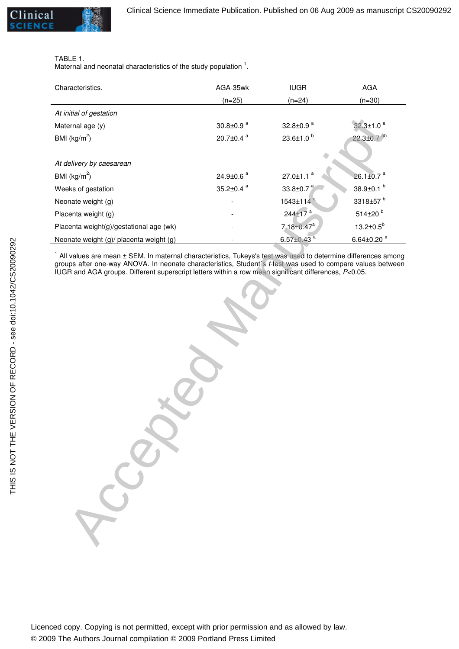### TABLE 1.

Maternal and neonatal characteristics of the study population  $1$ .

| Characteristics.                        | AGA-35wk              | <b>IUGR</b>                  | <b>AGA</b>                   |
|-----------------------------------------|-----------------------|------------------------------|------------------------------|
|                                         | $(n=25)$              | $(n=24)$                     | $(n=30)$                     |
| At initial of gestation                 |                       |                              |                              |
| Maternal age (y)                        | 30.8 $\pm$ 0.9 $a$    | 32.8 $\pm$ 0.9 $a$           | $32.3 \pm 1.0$ <sup>a</sup>  |
| BMI $(kg/m^2)$                          | 20.7 $\pm$ 0.4 $a$    | $23.6 \pm 1.0^{b}$           | $22.3 \pm 0.7$ <sup>ab</sup> |
|                                         |                       |                              |                              |
| At delivery by caesarean                |                       |                              |                              |
| BMI $(kg/m^2)$                          | 24.9 $\pm$ 0.6 $^{a}$ | $27.0 \pm 1.1$ <sup>a</sup>  | $26.1 \pm 0.7$ <sup>a</sup>  |
| Weeks of gestation                      | 35.2 $\pm$ 0.4 $a$    | 33.8 $\pm$ 0.7 $^{a}$        | 38.9 $\pm$ 0.1 $^{b}$        |
| Neonate weight (g)                      |                       | 1543±114 <sup>a</sup>        | 3318±57 <sup>b</sup>         |
| Placenta weight (g)                     |                       | 244±17 <sup>a</sup>          | 514±20 <sup>b</sup>          |
| Placenta weight(g)/gestational age (wk) |                       | $7.18 \pm 0.47$ <sup>a</sup> | $13.2 \pm 0.5^{\circ}$       |
| Neonate weight (g)/ placenta weight (g) |                       | 6.57 $\pm$ 0.43 $a$          | 6.64±0.20 $a$                |

 $1$  All values are mean  $\pm$  SEM. In maternal characteristics, Tukeys's test was used to determine differences among groups after one-way ANOVA. In neonate characteristics, Student´s t-test was used to compare values between IUGR and AGA groups. Different superscript letters within a row mean significant differences, P<0.05.

amal age (y)<br>  $\frac{26.840.9}{(600\pi)^3}$ <br>  $\frac{20.740.4}{20.240.8}$ <br>  $\frac{20.740.4}{20.240.8}$ <br>  $\frac{20.740.4}{20.240.8}$ <br>  $\frac{20.740.4}{20.240.8}$ <br>  $\frac{20.740.4}{20.240.8}$ <br>  $\frac{2440.8}{20.240.8}$ <br>  $\frac{2440.8}{20.240.8}$ <br>  $\frac{2440.8}{$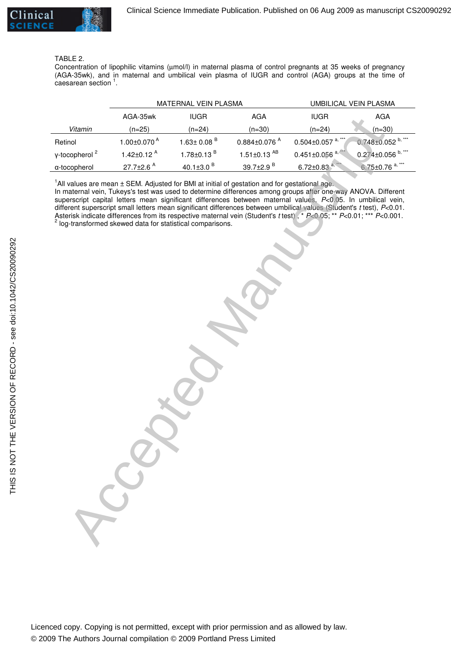

### TABLE 2.

Concentration of lipophilic vitamins (µmol/l) in maternal plasma of control pregnants at 35 weeks of pregnancy (AGA-35wk), and in maternal and umbilical vein plasma of IUGR and control (AGA) groups at the time of  $\epsilon$ aesarean section  $^1$ .

|                           | MATERNAL VEIN PLASMA                                                                                                                                                   |                              | UMBILICAL VEIN PLASMA          |                                                                                                                                                                                                                                                                                                                                                                                                                                                                                          |                                  |
|---------------------------|------------------------------------------------------------------------------------------------------------------------------------------------------------------------|------------------------------|--------------------------------|------------------------------------------------------------------------------------------------------------------------------------------------------------------------------------------------------------------------------------------------------------------------------------------------------------------------------------------------------------------------------------------------------------------------------------------------------------------------------------------|----------------------------------|
|                           | AGA-35wk                                                                                                                                                               | <b>IUGR</b>                  | AGA                            | <b>IUGR</b>                                                                                                                                                                                                                                                                                                                                                                                                                                                                              | AGA                              |
| Vitamin                   | $(n=25)$                                                                                                                                                               | $(n=24)$                     | $(n=30)$                       | $(n=24)$                                                                                                                                                                                                                                                                                                                                                                                                                                                                                 | $(n=30)$                         |
| Retinol                   | 1.00 $\pm$ 0.070 $^{\text{A}}$                                                                                                                                         | $1.63 \pm 0.08$ <sup>B</sup> | $0.884 \pm 0.076$ <sup>A</sup> | $0.504 \pm 0.057$ <sup>a, *</sup>                                                                                                                                                                                                                                                                                                                                                                                                                                                        | $0.748 \pm 0.052$ b, **          |
| γ-tocopherol <sup>2</sup> | 1.42 $\pm$ 0.12 <sup>A</sup>                                                                                                                                           | $1.78 \pm 0.13$ <sup>B</sup> | $1.51 \pm 0.13$ <sup>AB</sup>  | $0.451 \pm 0.056$                                                                                                                                                                                                                                                                                                                                                                                                                                                                        | $0.274 \pm 0.056$ b, **          |
| a-tocopherol              | 27.7±2.6 <sup>A</sup>                                                                                                                                                  | 40.1 $\pm$ 3.0 $^{B}$        | 39.7±2.9 <sup>B</sup>          | $6.72 \pm 0.83^{a}$                                                                                                                                                                                                                                                                                                                                                                                                                                                                      | $6.75 \pm 0.76$ <sup>a,***</sup> |
|                           | $1$ All values are mean $\pm$ SEM. Adjusted for BMI at initial of gestation and for gestational age.<br>log-transformed skewed data for statistical comparisons.<br>58 |                              |                                | In maternal vein, Tukeys's test was used to determine differences among groups after one-way ANOVA. Different<br>superscript capital letters mean significant differences between maternal values, P<0.05. In umbilical vein,<br>different superscript small letters mean significant differences between umbilical values (Student's t test), P<0.01.<br>Asterisk indicate differences from its respective maternal vein (Student's t test), * $P<0.05$ ; ** $P<0.01$ ; *** $P<0.001$ . |                                  |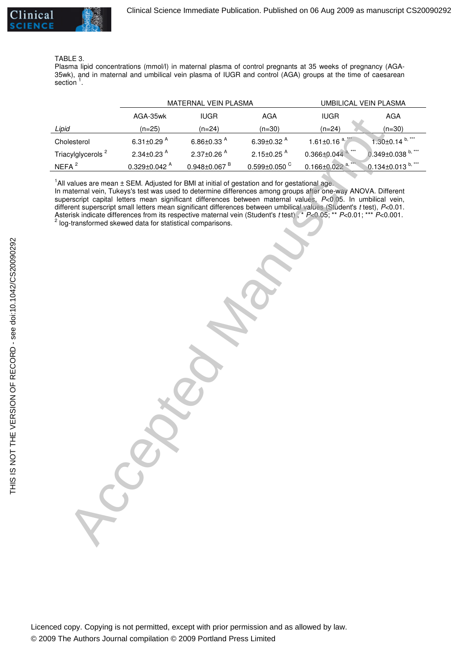#### TABLE 3.

Plasma lipid concentrations (mmol/l) in maternal plasma of control pregnants at 35 weeks of pregnancy (AGA-35wk), and in maternal and umbilical vein plasma of IUGR and control (AGA) groups at the time of caesarean section<sup>1</sup>.

|                                                                                                                                                                                                                                                                                                                                                                                                                                                                                                                                                                                                                                                                           | MATERNAL VEIN PLASMA           |                                | UMBILICAL VEIN PLASMA          |                                 |                      |
|---------------------------------------------------------------------------------------------------------------------------------------------------------------------------------------------------------------------------------------------------------------------------------------------------------------------------------------------------------------------------------------------------------------------------------------------------------------------------------------------------------------------------------------------------------------------------------------------------------------------------------------------------------------------------|--------------------------------|--------------------------------|--------------------------------|---------------------------------|----------------------|
|                                                                                                                                                                                                                                                                                                                                                                                                                                                                                                                                                                                                                                                                           | AGA-35wk                       | <b>IUGR</b>                    | AGA                            | <b>IUGR</b>                     | <b>AGA</b>           |
| Lipid                                                                                                                                                                                                                                                                                                                                                                                                                                                                                                                                                                                                                                                                     | $(n=25)$                       | $(n=24)$                       | $(n=30)$                       | $(n=24)$                        | $(n=30)$             |
| Cholesterol                                                                                                                                                                                                                                                                                                                                                                                                                                                                                                                                                                                                                                                               | 6.31 $\pm$ 0.29 <sup>A</sup>   | 6.86 $\pm$ 0.33 <sup>A</sup>   | 6.39 $\pm$ 0.32 $^{A}$         | 1.61±0.16 $a^2$                 | $1.30\pm0.14^{b,**}$ |
| Triacylglycerols <sup>2</sup>                                                                                                                                                                                                                                                                                                                                                                                                                                                                                                                                                                                                                                             | 2.34 $\pm$ 0.23 <sup>A</sup>   | $2.37 \pm 0.26$ <sup>A</sup>   | 2.15 $\pm$ 0.25 <sup>A</sup>   | $0.366 \pm 0.044$ <sup>a,</sup> | $0.349\pm0.038$ b, * |
| NEFA <sup>2</sup>                                                                                                                                                                                                                                                                                                                                                                                                                                                                                                                                                                                                                                                         | $0.329 \pm 0.042$ <sup>A</sup> | $0.948 \pm 0.067$ <sup>B</sup> | $0.599 \pm 0.050$ <sup>C</sup> | $0.166 \pm 0.022$ <sup>a,</sup> | 0.134±0.013 b, ***   |
| $1$ All values are mean $\pm$ SEM. Adjusted for BMI at initial of gestation and for gestational age.<br>In maternal vein, Tukeys's test was used to determine differences among groups after one-way ANOVA. Different<br>superscript capital letters mean significant differences between maternal values, P<0.05. In umbilical vein,<br>different superscript small letters mean significant differences between umbilical values (Student's t test), P<0.01.<br>Asterisk indicate differences from its respective maternal vein (Student's t test), * $P<0.05$ ; ** $P<0.01$ ; *** $P<0.001$ .<br><sup>2</sup> log-transformed skewed data for statistical comparisons. | 330                            |                                |                                |                                 |                      |
|                                                                                                                                                                                                                                                                                                                                                                                                                                                                                                                                                                                                                                                                           |                                |                                |                                |                                 |                      |
|                                                                                                                                                                                                                                                                                                                                                                                                                                                                                                                                                                                                                                                                           |                                |                                |                                |                                 |                      |
|                                                                                                                                                                                                                                                                                                                                                                                                                                                                                                                                                                                                                                                                           |                                |                                |                                |                                 |                      |
|                                                                                                                                                                                                                                                                                                                                                                                                                                                                                                                                                                                                                                                                           |                                |                                |                                |                                 |                      |
|                                                                                                                                                                                                                                                                                                                                                                                                                                                                                                                                                                                                                                                                           |                                |                                |                                |                                 |                      |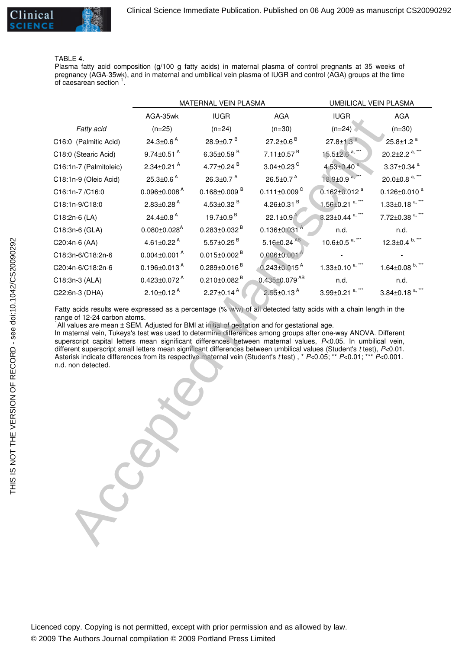#### TABLE 4.

Plasma fatty acid composition (g/100 g fatty acids) in maternal plasma of control pregnants at 35 weeks of pregnancy (AGA-35wk), and in maternal and umbilical vein plasma of IUGR and control (AGA) groups at the time of caesarean section  $1$ .

|                                                                                                                                                                                                                                                                                                                                                                                                                                                                                                                                                                                                                                                                                                                                                                                      | MATERNAL VEIN PLASMA           |                                | UMBILICAL VEIN PLASMA          |                                   |                                   |
|--------------------------------------------------------------------------------------------------------------------------------------------------------------------------------------------------------------------------------------------------------------------------------------------------------------------------------------------------------------------------------------------------------------------------------------------------------------------------------------------------------------------------------------------------------------------------------------------------------------------------------------------------------------------------------------------------------------------------------------------------------------------------------------|--------------------------------|--------------------------------|--------------------------------|-----------------------------------|-----------------------------------|
|                                                                                                                                                                                                                                                                                                                                                                                                                                                                                                                                                                                                                                                                                                                                                                                      | AGA-35wk                       | <b>IUGR</b>                    | <b>AGA</b>                     | <b>IUGR</b>                       | AGA                               |
| Fatty acid                                                                                                                                                                                                                                                                                                                                                                                                                                                                                                                                                                                                                                                                                                                                                                           | $(n=25)$                       | $(n=24)$                       | $(n=30)$                       | $(n=24)$                          | $(n=30)$                          |
| C16:0 (Palmitic Acid)                                                                                                                                                                                                                                                                                                                                                                                                                                                                                                                                                                                                                                                                                                                                                                | 24.3 $\pm$ 0.6 <sup>A</sup>    | $28.9 \pm 0.7$ <sup>B</sup>    | $27.2 \pm 0.6$ <sup>B</sup>    | $27.8 \pm 1.3$ <sup>a</sup>       | $25.8 \pm 1.2$ <sup>a</sup>       |
| C18:0 (Stearic Acid)                                                                                                                                                                                                                                                                                                                                                                                                                                                                                                                                                                                                                                                                                                                                                                 | $9.74 \pm 0.51$ <sup>A</sup>   | 6.35 $\pm$ 0.59 $^{B}$         | $7.11 \pm 0.57$ <sup>B</sup>   | $15.5 \pm 2.6$ <sup>a, *</sup>    | 20.2±2.2 $a,***$                  |
| C16:1n-7 (Palmitoleic)                                                                                                                                                                                                                                                                                                                                                                                                                                                                                                                                                                                                                                                                                                                                                               | $2.34 \pm 0.21$ <sup>A</sup>   | 4.77 $\pm$ 0.24 $B$            | $3.04 \pm 0.23$ <sup>C</sup>   | $4.53 \pm 0.40$ <sup>a</sup>      | $3.37 \pm 0.34$ <sup>a</sup>      |
| C18:1n-9 (Oleic Acid)                                                                                                                                                                                                                                                                                                                                                                                                                                                                                                                                                                                                                                                                                                                                                                | 25.3 $\pm$ 0.6 <sup>A</sup>    | 26.3 $\pm$ 0.7 $^{A}$          | 26.5 $\pm$ 0.7 <sup>A</sup>    | 18.9±0.9 <sup>a,**</sup>          | 20.0 $\pm$ 0.8 <sup>a,***</sup>   |
| C16:1n-7/C16:0                                                                                                                                                                                                                                                                                                                                                                                                                                                                                                                                                                                                                                                                                                                                                                       | $0.096 \pm 0.008$ <sup>A</sup> | $0.168 \pm 0.009$ <sup>B</sup> | $0.111 \pm 0.009$ <sup>C</sup> | $0.162 \pm 0.012$ <sup>a</sup>    | $0.126 \pm 0.010$ <sup>a</sup>    |
| C18:1n-9/C18:0                                                                                                                                                                                                                                                                                                                                                                                                                                                                                                                                                                                                                                                                                                                                                                       | $2.83 \pm 0.28$ <sup>A</sup>   | 4.53±0.32 $B$                  | 4.26 $\pm$ 0.31 $^{\text{B}}$  | $1.56 \pm 0.21$ <sup>a, ***</sup> | $1.33 \pm 0.18$ <sup>a, ***</sup> |
| C18:2n-6 (LA)                                                                                                                                                                                                                                                                                                                                                                                                                                                                                                                                                                                                                                                                                                                                                                        | 24.4 $\pm$ 0.8 <sup>A</sup>    | 19.7±0.9 <sup>B</sup>          | 22.1 $\pm$ 0.9 <sup>A</sup>    | $8.23 \pm 0.44$ <sup>a, ***</sup> | 7.72±0.38 <sup>a,***</sup>        |
| C18:3n-6 (GLA)                                                                                                                                                                                                                                                                                                                                                                                                                                                                                                                                                                                                                                                                                                                                                                       | $0.080 \pm 0.028$ <sup>A</sup> | $0.283 \pm 0.032$ <sup>B</sup> | 0.136±0.031                    | n.d.                              | n.d.                              |
| C20:4n-6 (AA)                                                                                                                                                                                                                                                                                                                                                                                                                                                                                                                                                                                                                                                                                                                                                                        | 4.61 $\pm$ 0.22 <sup>A</sup>   | $5.57 \pm 0.25$ <sup>B</sup>   | $5.16 \pm 0.24$ <sup>AB</sup>  | 10.6 $\pm$ 0.5 <sup>a,***</sup>   | 12.3 $\pm$ 0.4 $b,***$            |
| C18:3n-6/C18:2n-6                                                                                                                                                                                                                                                                                                                                                                                                                                                                                                                                                                                                                                                                                                                                                                    | $0.004 \pm 0.001$ <sup>A</sup> | $0.015 \pm 0.002$ <sup>B</sup> | $0.006 \pm 0.001$              |                                   |                                   |
| C20:4n-6/C18:2n-6                                                                                                                                                                                                                                                                                                                                                                                                                                                                                                                                                                                                                                                                                                                                                                    | $0.196 \pm 0.013$ <sup>A</sup> | $0.289 \pm 0.016$ <sup>B</sup> | $0.243 \pm 0.015$ <sup>A</sup> | 1.33 $\pm$ 0.10 <sup>a,***</sup>  | 1.64±0.08 $^{b,***}$              |
| C18:3n-3 (ALA)                                                                                                                                                                                                                                                                                                                                                                                                                                                                                                                                                                                                                                                                                                                                                                       | $0.423 \pm 0.072$ <sup>A</sup> | $0.210 \pm 0.082$ <sup>B</sup> | 0.435±0.079 AB                 | n.d.                              | n.d.                              |
| C22:6n-3 (DHA)                                                                                                                                                                                                                                                                                                                                                                                                                                                                                                                                                                                                                                                                                                                                                                       | $2.10 \pm 0.12$ <sup>A</sup>   | $2.27 \pm 0.14$ <sup>A</sup>   | $2.55 \pm 0.13$ <sup>A</sup>   | $3.99 \pm 0.21$ <sup>a, ***</sup> | $3.84 \pm 0.18$ <sup>a, ***</sup> |
| Fatty acids results were expressed as a percentage (% w/w) of all detected fatty acids with a chain length in the<br>range of 12-24 carbon atoms.<br>$1$ All values are mean $\pm$ SEM. Adjusted for BMI at initial of gestation and for gestational age.<br>In maternal vein, Tukeys's test was used to determine differences among groups after one-way ANOVA. Different<br>superscript capital letters mean significant differences between maternal values, P<0.05. In umbilical vein,<br>different superscript small letters mean significant differences between umbilical values (Student's t test), P<0.01.<br>Asterisk indicate differences from its respective maternal vein (Student's t test), * $P<0.05$ ; ** $P<0.01$ ; *** $P<0.001$ .<br>n.d. non detected.<br>$-50$ |                                |                                |                                |                                   |                                   |

THIS IS NOT THE VERSION OF RECORD - see doi:10.1042/CS20090292 THIS IS NOT THE VERSION OF RECORD - see doi:10.1042/CS20090292